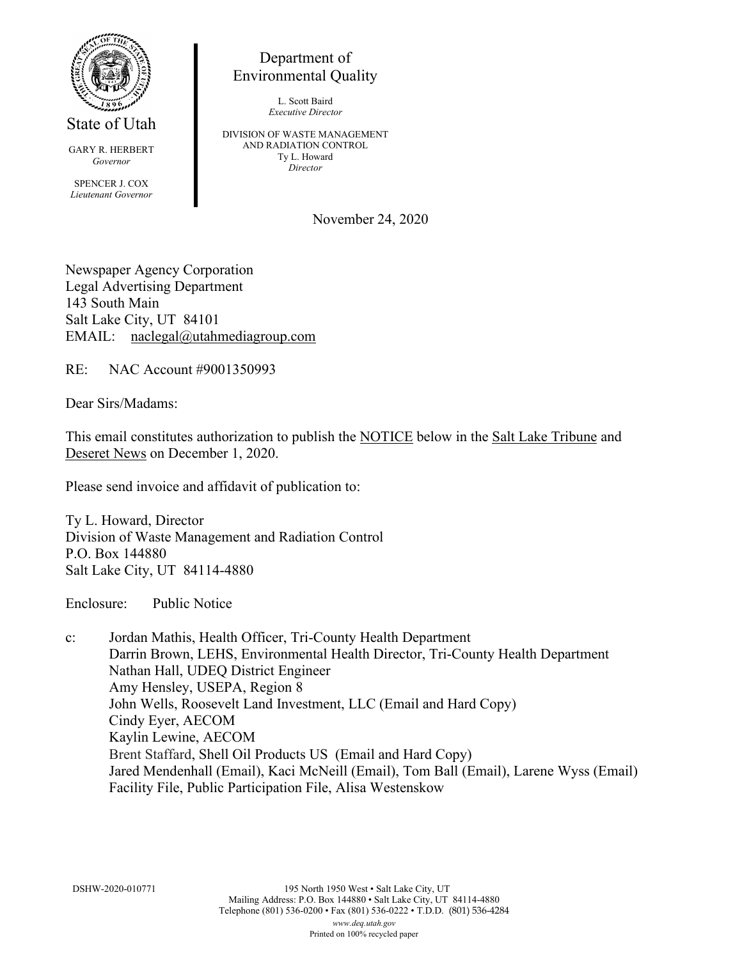

State of Utah

GARY R. HERBERT *Governor* SPENCER J. COX *Lieutenant Governor*

Department of Environmental Quality

> L. Scott Baird *Executive Director*

DIVISION OF WASTE MANAGEMENT AND RADIATION CONTROL Ty L. Howard *Director*

November 24, 2020

Newspaper Agency Corporation Legal Advertising Department 143 South Main Salt Lake City, UT 84101 EMAIL: naclegal@utahmediagroup.com

RE: NAC Account #9001350993

Dear Sirs/Madams:

This email constitutes authorization to publish the NOTICE below in the Salt Lake Tribune and Deseret News on December 1, 2020.

Please send invoice and affidavit of publication to:

Ty L. Howard, Director Division of Waste Management and Radiation Control P.O. Box 144880 Salt Lake City, UT 84114-4880

Enclosure: Public Notice

c: Jordan Mathis, Health Officer, Tri-County Health Department Darrin Brown, LEHS, Environmental Health Director, Tri-County Health Department Nathan Hall, UDEQ District Engineer Amy Hensley, USEPA, Region 8 John Wells, Roosevelt Land Investment, LLC (Email and Hard Copy) Cindy Eyer, AECOM Kaylin Lewine, AECOM Brent Staffard, Shell Oil Products US (Email and Hard Copy) Jared Mendenhall (Email), Kaci McNeill (Email), Tom Ball (Email), Larene Wyss (Email) Facility File, Public Participation File, Alisa Westenskow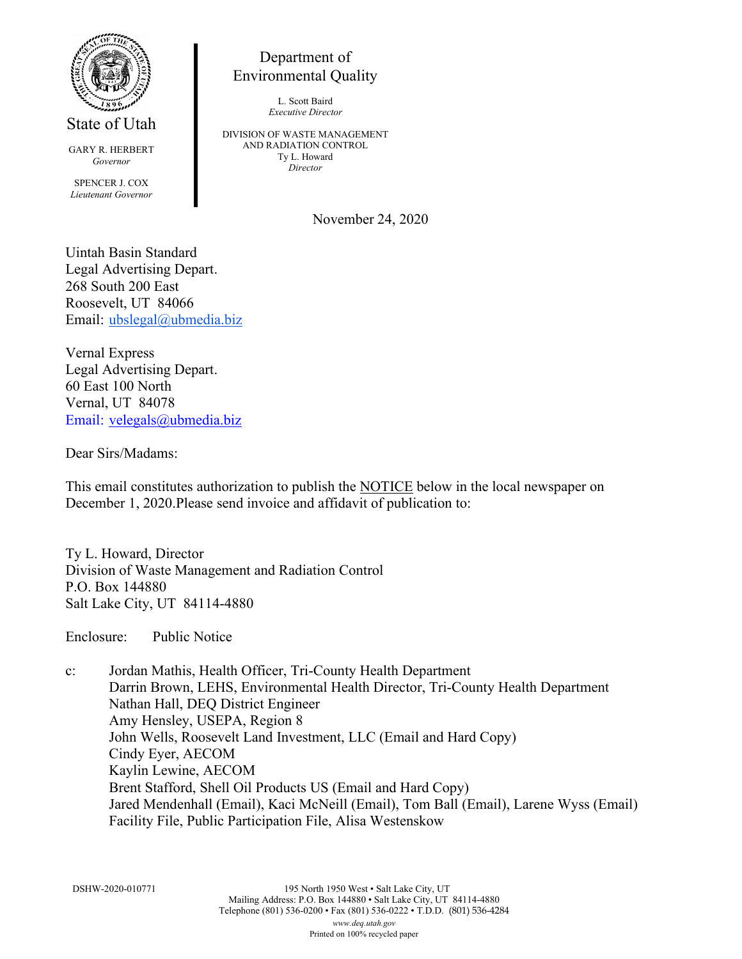

State of Utah

GARY R. HERBERT *Governor* SPENCER J. COX *Lieutenant Governor*

## Department of Environmental Quality

L. Scott Baird *Executive Director*

DIVISION OF WASTE MANAGEMENT AND RADIATION CONTROL Ty L. Howard *Director*

November 24, 2020

Uintah Basin Standard Legal Advertising Depart. 268 South 200 East Roosevelt, UT 84066 Email: [ubslegal@ubmedia.biz](mailto:ubslegal@ubmedia.biz)

Vernal Express Legal Advertising Depart. 60 East 100 North Vernal, UT 84078 Email: [velegals@ubmedia.biz](mailto:Email:%09velegals@ubmedia.biz)

Dear Sirs/Madams:

This email constitutes authorization to publish the NOTICE below in the local newspaper on December 1, 2020.Please send invoice and affidavit of publication to:

Ty L. Howard, Director Division of Waste Management and Radiation Control P.O. Box 144880 Salt Lake City, UT 84114-4880

Enclosure: Public Notice

c: Jordan Mathis, Health Officer, Tri-County Health Department Darrin Brown, LEHS, Environmental Health Director, Tri-County Health Department Nathan Hall, DEQ District Engineer Amy Hensley, USEPA, Region 8 John Wells, Roosevelt Land Investment, LLC (Email and Hard Copy) Cindy Eyer, AECOM Kaylin Lewine, AECOM Brent Stafford, Shell Oil Products US (Email and Hard Copy) Jared Mendenhall (Email), Kaci McNeill (Email), Tom Ball (Email), Larene Wyss (Email) Facility File, Public Participation File, Alisa Westenskow